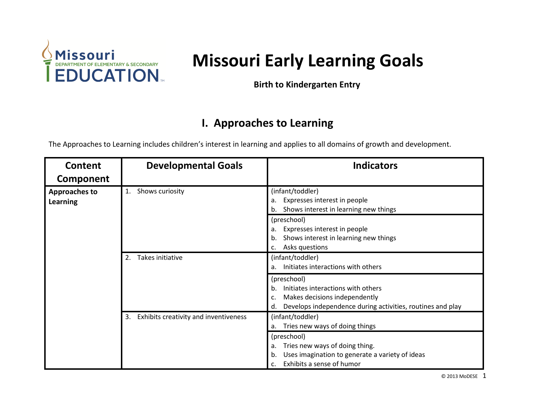

# **Missouri Missouri Early Learning Goals**

 **Birth to Kindergarten Entry** 

#### **I. Approaches to Learning**

The Approaches to Learning includes children's interest in learning and applies to all domains of growth and development.

| Content                                 | <b>Developmental Goals</b>                  | <b>Indicators</b>                                                                                                                                            |
|-----------------------------------------|---------------------------------------------|--------------------------------------------------------------------------------------------------------------------------------------------------------------|
| Component                               |                                             |                                                                                                                                                              |
| <b>Approaches to</b><br><b>Learning</b> | Shows curiosity<br>1.                       | (infant/toddler)<br>Expresses interest in people<br>а.<br>Shows interest in learning new things                                                              |
|                                         |                                             | (preschool)<br>Expresses interest in people<br>а.<br>Shows interest in learning new things<br>b.<br>Asks questions                                           |
|                                         | Takes initiative<br>2.                      | (infant/toddler)<br>Initiates interactions with others<br>а.                                                                                                 |
|                                         |                                             | (preschool)<br>Initiates interactions with others<br>b.<br>Makes decisions independently<br>Develops independence during activities, routines and play<br>d. |
|                                         | Exhibits creativity and inventiveness<br>3. | (infant/toddler)<br>Tries new ways of doing things<br>a.                                                                                                     |
|                                         |                                             | (preschool)<br>Tries new ways of doing thing.<br>a.<br>Uses imagination to generate a variety of ideas<br>b.<br>Exhibits a sense of humor<br>$\mathsf{C}$ .  |

© 2013 MoDESE 1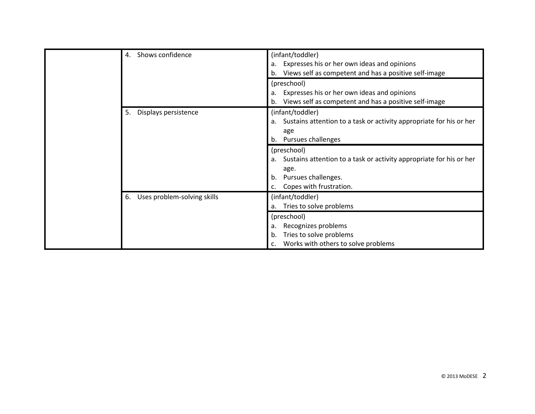|  | Shows confidence<br>4.            | (infant/toddler)<br>Expresses his or her own ideas and opinions<br>a.<br>Views self as competent and has a positive self-image<br>b.               |
|--|-----------------------------------|----------------------------------------------------------------------------------------------------------------------------------------------------|
|  |                                   | (preschool)<br>Expresses his or her own ideas and opinions<br>a.<br>Views self as competent and has a positive self-image                          |
|  | Displays persistence<br>5.        | (infant/toddler)<br>Sustains attention to a task or activity appropriate for his or her<br>a.<br>age<br>Pursues challenges<br>b.                   |
|  |                                   | (preschool)<br>Sustains attention to a task or activity appropriate for his or her<br>age.<br>Pursues challenges.<br>b.<br>Copes with frustration. |
|  | Uses problem-solving skills<br>6. | (infant/toddler)<br>Tries to solve problems<br>а.                                                                                                  |
|  |                                   | (preschool)<br>Recognizes problems<br>a.<br>Tries to solve problems<br>b.<br>Works with others to solve problems                                   |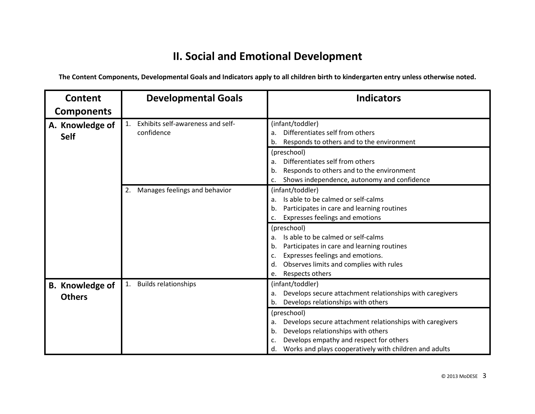## **II. Social and Emotional Development**

| Content                                 | <b>Developmental Goals</b>                                        | <b>Indicators</b>                                                                                                                                                                                                                          |
|-----------------------------------------|-------------------------------------------------------------------|--------------------------------------------------------------------------------------------------------------------------------------------------------------------------------------------------------------------------------------------|
| <b>Components</b>                       |                                                                   |                                                                                                                                                                                                                                            |
| A. Knowledge of<br><b>Self</b>          | Exhibits self-awareness and self-<br>$\mathbf{1}$ .<br>confidence | (infant/toddler)<br>Differentiates self from others<br>a.<br>Responds to others and to the environment<br>b.                                                                                                                               |
|                                         |                                                                   | (preschool)<br>Differentiates self from others<br>a.<br>Responds to others and to the environment<br>b<br>Shows independence, autonomy and confidence<br>c.                                                                                |
|                                         | Manages feelings and behavior<br>2.                               | (infant/toddler)<br>Is able to be calmed or self-calms<br>a.<br>Participates in care and learning routines<br>b.<br>Expresses feelings and emotions<br>c.                                                                                  |
|                                         |                                                                   | (preschool)<br>Is able to be calmed or self-calms<br>a.<br>Participates in care and learning routines<br>b.<br>Expresses feelings and emotions.<br>c.<br>Observes limits and complies with rules<br>d.<br>Respects others<br>e.            |
| <b>B.</b> Knowledge of<br><b>Others</b> | <b>Builds relationships</b><br>1.                                 | (infant/toddler)<br>Develops secure attachment relationships with caregivers<br>a.<br>Develops relationships with others<br>b.                                                                                                             |
|                                         |                                                                   | (preschool)<br>Develops secure attachment relationships with caregivers<br>a.<br>Develops relationships with others<br>b.<br>Develops empathy and respect for others<br>c.<br>Works and plays cooperatively with children and adults<br>d. |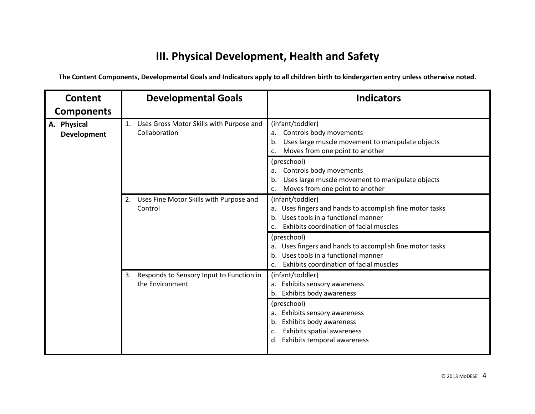# **III. Physical Development, Health and Safety**

| Content                           | <b>Developmental Goals</b>                                        | <b>Indicators</b>                                                                                                                                                        |
|-----------------------------------|-------------------------------------------------------------------|--------------------------------------------------------------------------------------------------------------------------------------------------------------------------|
| <b>Components</b>                 |                                                                   |                                                                                                                                                                          |
| A. Physical<br><b>Development</b> | Uses Gross Motor Skills with Purpose and<br>1.<br>Collaboration   | (infant/toddler)<br>Controls body movements<br>a.<br>Uses large muscle movement to manipulate objects<br>b.<br>Moves from one point to another<br>c.                     |
|                                   |                                                                   | (preschool)<br>Controls body movements<br>a.<br>Uses large muscle movement to manipulate objects<br>b.<br>Moves from one point to another<br>c.                          |
|                                   | Uses Fine Motor Skills with Purpose and<br>2.<br>Control          | (infant/toddler)<br>a. Uses fingers and hands to accomplish fine motor tasks<br>Uses tools in a functional manner<br>b.<br>Exhibits coordination of facial muscles<br>C. |
|                                   |                                                                   | (preschool)<br>Uses fingers and hands to accomplish fine motor tasks<br>a.<br>Uses tools in a functional manner<br>Exhibits coordination of facial muscles<br>c.         |
|                                   | Responds to Sensory Input to Function in<br>3.<br>the Environment | (infant/toddler)<br>a. Exhibits sensory awareness<br>Exhibits body awareness<br>b.                                                                                       |
|                                   |                                                                   | (preschool)<br>Exhibits sensory awareness<br>a.<br>Exhibits body awareness<br>b.<br>Exhibits spatial awareness<br>c.<br>Exhibits temporal awareness<br>d.                |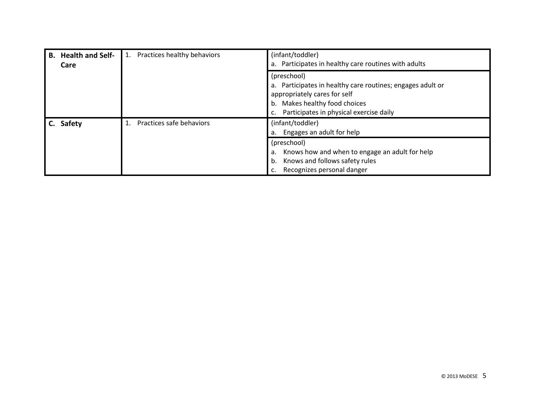| <b>Health and Self-</b><br>В.<br>Care | Practices healthy behaviors                                                                                                                                                           | (infant/toddler)<br>Participates in healthy care routines with adults<br>a.                                                               |
|---------------------------------------|---------------------------------------------------------------------------------------------------------------------------------------------------------------------------------------|-------------------------------------------------------------------------------------------------------------------------------------------|
|                                       | (preschool)<br>a. Participates in healthy care routines; engages adult or<br>appropriately cares for self<br>b. Makes healthy food choices<br>Participates in physical exercise daily |                                                                                                                                           |
| <b>Safety</b>                         | Practices safe behaviors                                                                                                                                                              | (infant/toddler)<br>Engages an adult for help<br>a.                                                                                       |
|                                       |                                                                                                                                                                                       | (preschool)<br>Knows how and when to engage an adult for help<br>a.<br>Knows and follows safety rules<br>b.<br>Recognizes personal danger |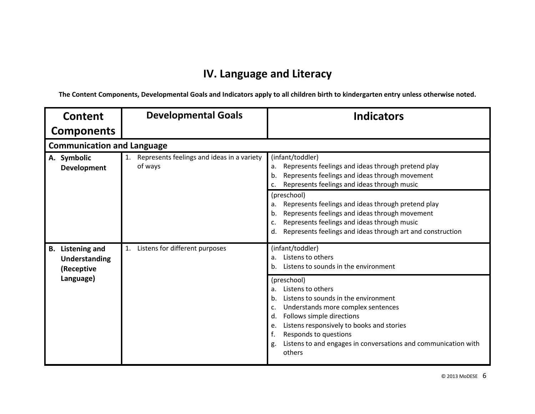## **IV. Language and Literacy**

| Content                                                   | <b>Developmental Goals</b>                                  | <b>Indicators</b>                                                                                                                                                                                                                                                                                                                                                                                                                                     |
|-----------------------------------------------------------|-------------------------------------------------------------|-------------------------------------------------------------------------------------------------------------------------------------------------------------------------------------------------------------------------------------------------------------------------------------------------------------------------------------------------------------------------------------------------------------------------------------------------------|
| <b>Components</b>                                         |                                                             |                                                                                                                                                                                                                                                                                                                                                                                                                                                       |
| <b>Communication and Language</b>                         |                                                             |                                                                                                                                                                                                                                                                                                                                                                                                                                                       |
| A. Symbolic<br><b>Development</b>                         | Represents feelings and ideas in a variety<br>1.<br>of ways | (infant/toddler)<br>Represents feelings and ideas through pretend play<br>a.<br>Represents feelings and ideas through movement<br>b.<br>Represents feelings and ideas through music<br>c.<br>(preschool)<br>Represents feelings and ideas through pretend play<br>a.<br>Represents feelings and ideas through movement<br>b.<br>Represents feelings and ideas through music<br>c.<br>Represents feelings and ideas through art and construction<br>d. |
| <b>Listening and</b><br><b>B.</b><br><b>Understanding</b> | Listens for different purposes<br>1.                        | (infant/toddler)<br>Listens to others<br>a.<br>Listens to sounds in the environment<br>b.                                                                                                                                                                                                                                                                                                                                                             |
| (Receptive<br>Language)                                   |                                                             | (preschool)<br>Listens to others<br>a.<br>Listens to sounds in the environment<br>b.<br>Understands more complex sentences<br>c.<br>Follows simple directions<br>d.<br>Listens responsively to books and stories<br>e.<br>f.<br>Responds to questions<br>Listens to and engages in conversations and communication with<br>g.<br>others                                                                                                               |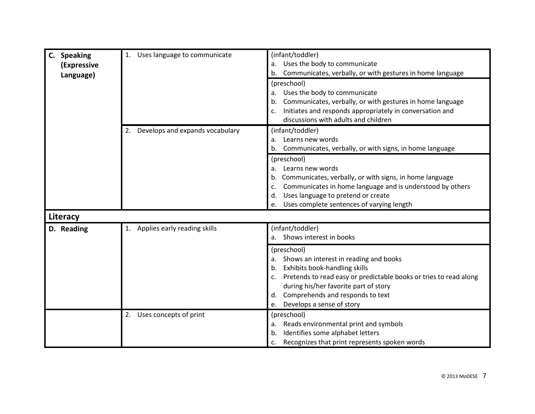| C. Speaking | Uses language to communicate          | (infant/toddler)                                                        |
|-------------|---------------------------------------|-------------------------------------------------------------------------|
| (Expressive |                                       | Uses the body to communicate<br>a.                                      |
| Language)   |                                       | Communicates, verbally, or with gestures in home language<br>b.         |
|             |                                       | (preschool)                                                             |
|             |                                       | Uses the body to communicate<br>a.                                      |
|             |                                       | Communicates, verbally, or with gestures in home language<br>b.         |
|             |                                       | Initiates and responds appropriately in conversation and<br>c.          |
|             |                                       | discussions with adults and children                                    |
|             | Develops and expands vocabulary<br>2. | (infant/toddler)                                                        |
|             |                                       | Learns new words<br>a.                                                  |
|             |                                       | Communicates, verbally, or with signs, in home language<br>b.           |
|             |                                       | (preschool)                                                             |
|             |                                       | Learns new words<br>a.                                                  |
|             |                                       | Communicates, verbally, or with signs, in home language<br>b.           |
|             |                                       | Communicates in home language and is understood by others<br>c.         |
|             |                                       | Uses language to pretend or create<br>d.                                |
|             |                                       | Uses complete sentences of varying length<br>e.                         |
| Literacy    |                                       |                                                                         |
| D. Reading  | 1. Applies early reading skills       | (infant/toddler)                                                        |
|             |                                       | a. Shows interest in books                                              |
|             |                                       | (preschool)                                                             |
|             |                                       | Shows an interest in reading and books<br>a.                            |
|             |                                       | Exhibits book-handling skills<br>b.                                     |
|             |                                       | Pretends to read easy or predictable books or tries to read along<br>c. |
|             |                                       | during his/her favorite part of story                                   |
|             |                                       | Comprehends and responds to text<br>d.                                  |
|             |                                       | Develops a sense of story<br>e.                                         |
|             | 2. Uses concepts of print             | (preschool)                                                             |
|             |                                       | Reads environmental print and symbols<br>a.                             |
|             |                                       | Identifies some alphabet letters<br>b.                                  |
|             |                                       | Recognizes that print represents spoken words<br>c.                     |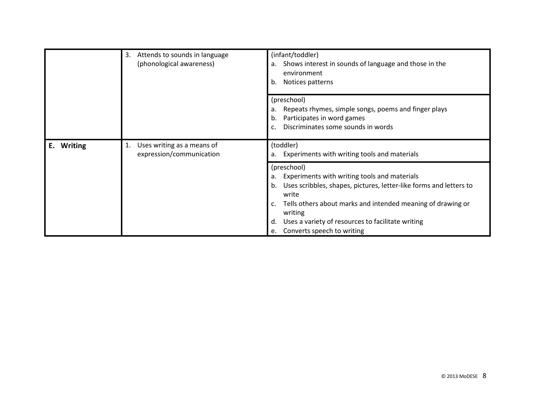| 3. Attends to sounds in language<br>(phonological awareness)                         | (infant/toddler)<br>Shows interest in sounds of language and those in the<br>а.<br>environment<br>Notices patterns<br>b. |                                                                                                                                                                                                                                                                                                                                       |
|--------------------------------------------------------------------------------------|--------------------------------------------------------------------------------------------------------------------------|---------------------------------------------------------------------------------------------------------------------------------------------------------------------------------------------------------------------------------------------------------------------------------------------------------------------------------------|
|                                                                                      |                                                                                                                          | (preschool)<br>Repeats rhymes, simple songs, poems and finger plays<br>a.<br>Participates in word games<br>b.<br>Discriminates some sounds in words<br>c.                                                                                                                                                                             |
| Uses writing as a means of<br>1.<br>E.<br><b>Writing</b><br>expression/communication |                                                                                                                          | (toddler)<br>a. Experiments with writing tools and materials                                                                                                                                                                                                                                                                          |
|                                                                                      |                                                                                                                          | (preschool)<br>Experiments with writing tools and materials<br>a.<br>Uses scribbles, shapes, pictures, letter-like forms and letters to<br>b.<br>write<br>Tells others about marks and intended meaning of drawing or<br>c.<br>writing<br>Uses a variety of resources to facilitate writing<br>d.<br>Converts speech to writing<br>e. |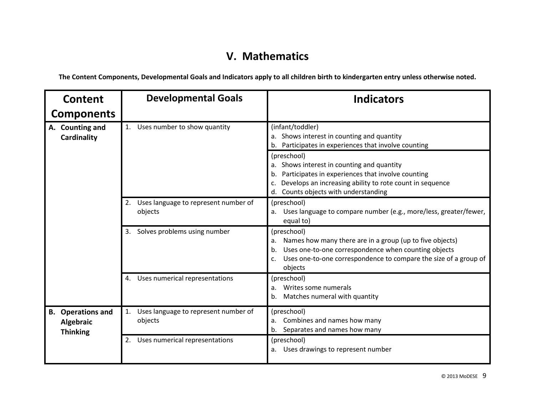## **V. Mathematics**

| <b>Content</b>                                           | <b>Developmental Goals</b>                            | <b>Indicators</b>                                                                                                                                                                                                                |
|----------------------------------------------------------|-------------------------------------------------------|----------------------------------------------------------------------------------------------------------------------------------------------------------------------------------------------------------------------------------|
| <b>Components</b>                                        |                                                       |                                                                                                                                                                                                                                  |
| A. Counting and<br>Cardinality                           | Uses number to show quantity<br>1.                    | (infant/toddler)<br>a. Shows interest in counting and quantity<br>b. Participates in experiences that involve counting                                                                                                           |
|                                                          |                                                       | (preschool)<br>a. Shows interest in counting and quantity<br>Participates in experiences that involve counting<br>Develops an increasing ability to rote count in sequence<br>Counts objects with understanding<br>d.            |
|                                                          | Uses language to represent number of<br>2.<br>objects | (preschool)<br>a. Uses language to compare number (e.g., more/less, greater/fewer,<br>equal to)                                                                                                                                  |
|                                                          | Solves problems using number<br>3.                    | (preschool)<br>Names how many there are in a group (up to five objects)<br>a.<br>Uses one-to-one correspondence when counting objects<br>b.<br>Uses one-to-one correspondence to compare the size of a group of<br>c.<br>objects |
|                                                          | Uses numerical representations<br>4.                  | (preschool)<br>Writes some numerals<br>a.<br>Matches numeral with quantity<br>b.                                                                                                                                                 |
| <b>B.</b> Operations and<br>Algebraic<br><b>Thinking</b> | Uses language to represent number of<br>1.<br>objects | (preschool)<br>Combines and names how many<br>a.<br>b. Separates and names how many                                                                                                                                              |
|                                                          | Uses numerical representations<br>2.                  | (preschool)<br>a. Uses drawings to represent number                                                                                                                                                                              |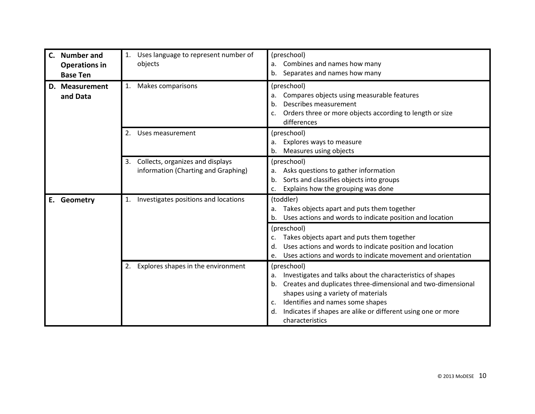| <b>Number and</b><br>$\mathsf{C}$ .<br><b>Operations in</b><br><b>Base Ten</b> | Uses language to represent number of<br>1.<br>objects                         | (preschool)<br>Combines and names how many<br>a.<br>Separates and names how many<br>b.                                                                                                                                                                                                                                          |
|--------------------------------------------------------------------------------|-------------------------------------------------------------------------------|---------------------------------------------------------------------------------------------------------------------------------------------------------------------------------------------------------------------------------------------------------------------------------------------------------------------------------|
| D. Measurement<br>and Data                                                     | Makes comparisons<br>1.                                                       | (preschool)<br>Compares objects using measurable features<br>a.<br>Describes measurement<br>b.<br>Orders three or more objects according to length or size<br>differences                                                                                                                                                       |
|                                                                                | Uses measurement<br>2.                                                        | (preschool)<br>Explores ways to measure<br>a.<br>Measures using objects<br>b.                                                                                                                                                                                                                                                   |
|                                                                                | Collects, organizes and displays<br>3.<br>information (Charting and Graphing) | (preschool)<br>Asks questions to gather information<br>a.<br>Sorts and classifies objects into groups<br>b.<br>Explains how the grouping was done<br>c.                                                                                                                                                                         |
| E. Geometry                                                                    | 1. Investigates positions and locations                                       | (toddler)<br>Takes objects apart and puts them together<br>a.<br>Uses actions and words to indicate position and location<br>b.                                                                                                                                                                                                 |
|                                                                                |                                                                               | (preschool)<br>Takes objects apart and puts them together<br>Uses actions and words to indicate position and location<br>d.<br>Uses actions and words to indicate movement and orientation<br>e.                                                                                                                                |
|                                                                                | Explores shapes in the environment<br>2.                                      | (preschool)<br>Investigates and talks about the characteristics of shapes<br>a.<br>Creates and duplicates three-dimensional and two-dimensional<br>b.<br>shapes using a variety of materials<br>Identifies and names some shapes<br>c.<br>Indicates if shapes are alike or different using one or more<br>d.<br>characteristics |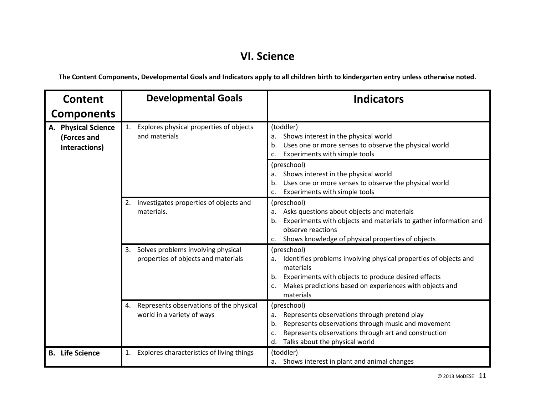#### **VI. Science**

| <b>Content</b>                                      | <b>Developmental Goals</b>                                                      | <b>Indicators</b>                                                                                                                                                                                                                       |
|-----------------------------------------------------|---------------------------------------------------------------------------------|-----------------------------------------------------------------------------------------------------------------------------------------------------------------------------------------------------------------------------------------|
| <b>Components</b>                                   |                                                                                 |                                                                                                                                                                                                                                         |
| A. Physical Science<br>(Forces and<br>Interactions) | Explores physical properties of objects<br>1.<br>and materials                  | (toddler)<br>Shows interest in the physical world<br>a.<br>Uses one or more senses to observe the physical world<br>b.<br>Experiments with simple tools<br>C.                                                                           |
|                                                     |                                                                                 | (preschool)<br>Shows interest in the physical world<br>a.<br>Uses one or more senses to observe the physical world<br>b.<br>Experiments with simple tools<br>c.                                                                         |
|                                                     | Investigates properties of objects and<br>2.<br>materials.                      | (preschool)<br>Asks questions about objects and materials<br>a.<br>Experiments with objects and materials to gather information and<br>b.<br>observe reactions<br>Shows knowledge of physical properties of objects<br>c.               |
|                                                     | Solves problems involving physical<br>3.<br>properties of objects and materials | (preschool)<br>Identifies problems involving physical properties of objects and<br>materials<br>Experiments with objects to produce desired effects<br>b.<br>Makes predictions based on experiences with objects and<br>c.<br>materials |
|                                                     | Represents observations of the physical<br>4.<br>world in a variety of ways     | (preschool)<br>Represents observations through pretend play<br>a.<br>Represents observations through music and movement<br>b.<br>Represents observations through art and construction<br>c.<br>Talks about the physical world<br>d.     |
| <b>B.</b> Life Science                              | Explores characteristics of living things<br>1.                                 | (toddler)<br>a. Shows interest in plant and animal changes                                                                                                                                                                              |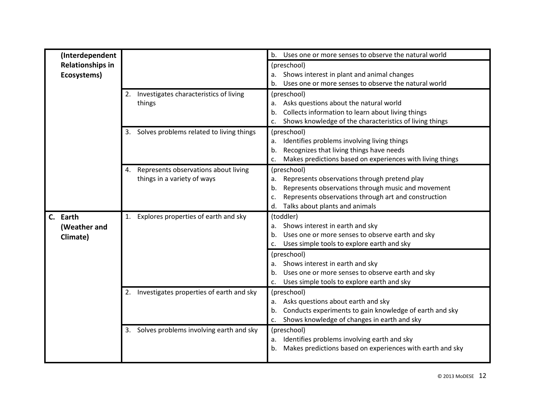| (Interdependent         |                                                | Uses one or more senses to observe the natural world<br>$b_{\cdot}$                                |
|-------------------------|------------------------------------------------|----------------------------------------------------------------------------------------------------|
| <b>Relationships in</b> |                                                | (preschool)                                                                                        |
| Ecosystems)             |                                                | Shows interest in plant and animal changes                                                         |
|                         |                                                | Uses one or more senses to observe the natural world                                               |
|                         | 2. Investigates characteristics of living      | (preschool)                                                                                        |
|                         | things                                         | Asks questions about the natural world<br>a.                                                       |
|                         |                                                | Collects information to learn about living things                                                  |
|                         |                                                | Shows knowledge of the characteristics of living things<br>c.                                      |
|                         | 3. Solves problems related to living things    | (preschool)                                                                                        |
|                         |                                                | Identifies problems involving living things<br>a.                                                  |
|                         |                                                | Recognizes that living things have needs<br>b.                                                     |
|                         |                                                | Makes predictions based on experiences with living things                                          |
|                         | 4. Represents observations about living        | (preschool)                                                                                        |
|                         | things in a variety of ways                    | Represents observations through pretend play<br>a.                                                 |
|                         |                                                | Represents observations through music and movement<br>b.                                           |
|                         |                                                | Represents observations through art and construction<br>c.<br>Talks about plants and animals<br>d. |
|                         |                                                |                                                                                                    |
| C. Earth                | Explores properties of earth and sky<br>1.     | (toddler)<br>Shows interest in earth and sky                                                       |
| (Weather and            |                                                | а.<br>Uses one or more senses to observe earth and sky<br>b.                                       |
| Climate)                |                                                | Uses simple tools to explore earth and sky<br>c.                                                   |
|                         |                                                | (preschool)                                                                                        |
|                         |                                                | Shows interest in earth and sky<br>a.                                                              |
|                         |                                                | Uses one or more senses to observe earth and sky                                                   |
|                         |                                                | Uses simple tools to explore earth and sky<br>c.                                                   |
|                         | Investigates properties of earth and sky<br>2. | (preschool)                                                                                        |
|                         |                                                | Asks questions about earth and sky<br>a.                                                           |
|                         |                                                | Conducts experiments to gain knowledge of earth and sky<br>b.                                      |
|                         |                                                | Shows knowledge of changes in earth and sky<br>c.                                                  |
|                         | 3. Solves problems involving earth and sky     | (preschool)                                                                                        |
|                         |                                                | Identifies problems involving earth and sky<br>a.                                                  |
|                         |                                                | Makes predictions based on experiences with earth and sky<br>b.                                    |
|                         |                                                |                                                                                                    |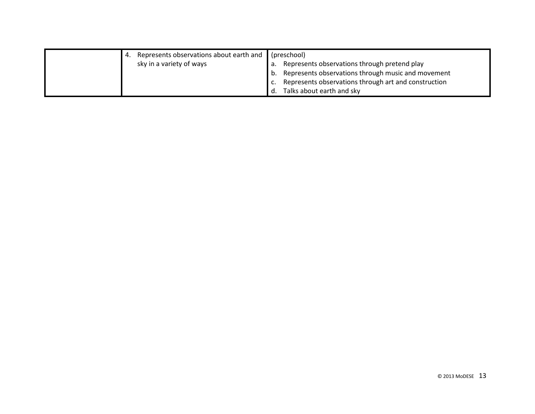|  | 4. Represents observations about earth and (preschool) |    |                                                         |
|--|--------------------------------------------------------|----|---------------------------------------------------------|
|  | sky in a variety of ways                               |    | a. Represents observations through pretend play         |
|  |                                                        |    | b. Represents observations through music and movement   |
|  |                                                        |    | c. Represents observations through art and construction |
|  |                                                        | d. | Talks about earth and sky                               |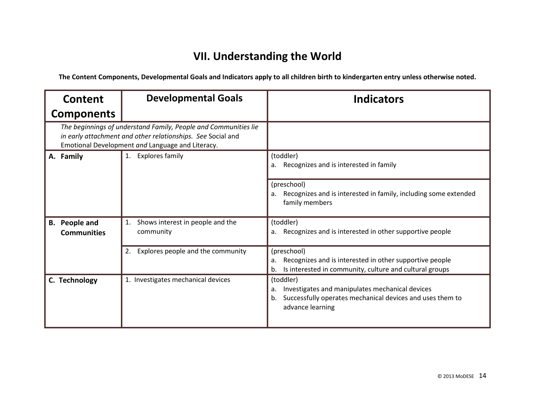# **VII. Understanding the World**

| Content                                                                                                                                                                            | <b>Developmental Goals</b>                          | <b>Indicators</b>                                                                                                                                         |
|------------------------------------------------------------------------------------------------------------------------------------------------------------------------------------|-----------------------------------------------------|-----------------------------------------------------------------------------------------------------------------------------------------------------------|
| <b>Components</b>                                                                                                                                                                  |                                                     |                                                                                                                                                           |
| The beginnings of understand Family, People and Communities lie<br>in early attachment and other relationships. See Social and<br>Emotional Development and Language and Literacy. |                                                     |                                                                                                                                                           |
| A. Family                                                                                                                                                                          | <b>Explores family</b><br>1.                        | (toddler)<br>Recognizes and is interested in family                                                                                                       |
|                                                                                                                                                                                    |                                                     | (preschool)<br>Recognizes and is interested in family, including some extended<br>a.<br>family members                                                    |
| <b>B.</b> People and<br><b>Communities</b>                                                                                                                                         | Shows interest in people and the<br>1.<br>community | (toddler)<br>Recognizes and is interested in other supportive people<br>a.                                                                                |
|                                                                                                                                                                                    | Explores people and the community<br>2.             | (preschool)<br>Recognizes and is interested in other supportive people<br>a.<br>Is interested in community, culture and cultural groups<br>b.             |
| C. Technology                                                                                                                                                                      | 1. Investigates mechanical devices                  | (toddler)<br>Investigates and manipulates mechanical devices<br>a.<br>Successfully operates mechanical devices and uses them to<br>b.<br>advance learning |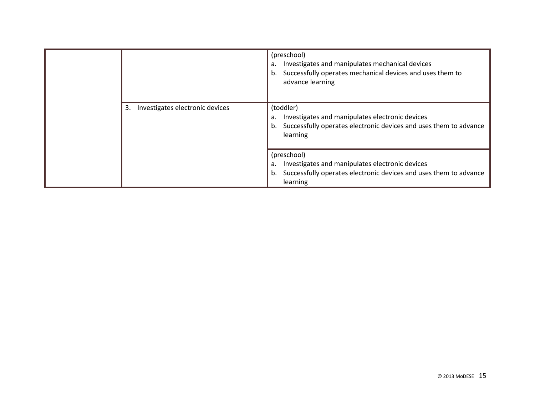|  |                                       | (preschool)<br>Investigates and manipulates mechanical devices<br>a.<br>Successfully operates mechanical devices and uses them to<br>b.<br>advance learning |
|--|---------------------------------------|-------------------------------------------------------------------------------------------------------------------------------------------------------------|
|  | Investigates electronic devices<br>3. | (toddler)<br>Investigates and manipulates electronic devices<br>a.<br>Successfully operates electronic devices and uses them to advance<br>b.<br>learning   |
|  |                                       | (preschool)<br>Investigates and manipulates electronic devices<br>a.<br>Successfully operates electronic devices and uses them to advance<br>b.<br>learning |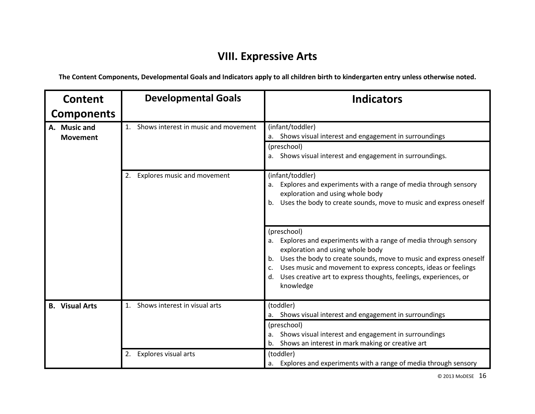## **VIII. Expressive Arts**

**The Content Components, Developmental Goals and Indicators apply to all children birth to kindergarten entry unless otherwise noted.**

| Content                         | <b>Developmental Goals</b>                          | <b>Indicators</b>                                                                                                                                                                                                                                                                                                                                                 |
|---------------------------------|-----------------------------------------------------|-------------------------------------------------------------------------------------------------------------------------------------------------------------------------------------------------------------------------------------------------------------------------------------------------------------------------------------------------------------------|
| <b>Components</b>               |                                                     |                                                                                                                                                                                                                                                                                                                                                                   |
| A. Music and<br><b>Movement</b> | Shows interest in music and movement<br>$1_{\cdot}$ | (infant/toddler)<br>a. Shows visual interest and engagement in surroundings<br>(preschool)                                                                                                                                                                                                                                                                        |
|                                 |                                                     | a. Shows visual interest and engagement in surroundings.                                                                                                                                                                                                                                                                                                          |
|                                 | Explores music and movement<br>2.                   | (infant/toddler)<br>Explores and experiments with a range of media through sensory<br>a.<br>exploration and using whole body<br>Uses the body to create sounds, move to music and express oneself<br>b.                                                                                                                                                           |
|                                 |                                                     | (preschool)<br>Explores and experiments with a range of media through sensory<br>a.<br>exploration and using whole body<br>Uses the body to create sounds, move to music and express oneself<br>b.<br>Uses music and movement to express concepts, ideas or feelings<br>C.<br>Uses creative art to express thoughts, feelings, experiences, or<br>d.<br>knowledge |
| <b>B.</b> Visual Arts           | Shows interest in visual arts                       | (toddler)<br>a. Shows visual interest and engagement in surroundings                                                                                                                                                                                                                                                                                              |
|                                 |                                                     | (preschool)<br>a. Shows visual interest and engagement in surroundings<br>b. Shows an interest in mark making or creative art                                                                                                                                                                                                                                     |
|                                 | Explores visual arts<br>2.                          | (toddler)<br>a. Explores and experiments with a range of media through sensory                                                                                                                                                                                                                                                                                    |

© 2013 MoDESE 16